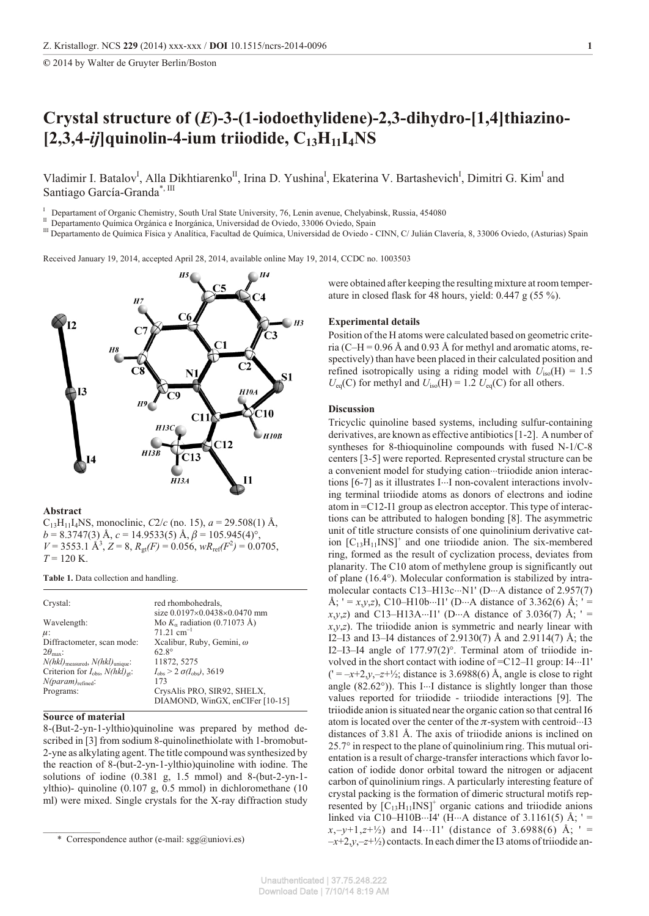**©** 2014 by Walter de Gruyter Berlin/Boston

# **Crys tal struc ture of (***E***)-3-(1-iodoethylidene)-2,3-dihydro-[1,4]thiazino- [2,3,4-***ij***]quinolin-4-ium triiodide, C13H11I4NS**

Vladimir I. Batalov<sup>I</sup>, Alla Dikhtiarenko<sup>II</sup>, Irina D. Yushina<sup>I</sup>, Ekaterina V. Bartashevich<sup>I</sup>, Dimitri G. Kim<sup>I</sup> and Santiago García-Granda\*, III

I Departament of Organic Chemistry, South Ural State University, 76, Lenin avenue, Chelyabinsk, Russia, 454080

<sup>II</sup> Departamento Química Orgánica e Inorgánica, Universidad de Oviedo, 33006 Oviedo, Spain

<sup>III</sup> Departamento de Química Física y Analítica, Facultad de Química, Universidad de Oviedo - CINN, C/ Julián Clavería, 8, 33006 Oviedo, (Asturias) Spain

Received January 19, 2014, accepted April 28, 2014, available online May 19, 2014, CCDC no. 1003503



**Abstract**

 $C_{13}H_{11}I_4$ NS, monoclinic,  $C_2/c$  (no. 15),  $a = 29.508(1)$  Å,  $b = 8.3747(3)$  Å,  $c = 14.9533(5)$  Å,  $\beta = 105.945(4)$ °,  $V = 3553.1 \text{ Å}^3$ ,  $Z = 8$ ,  $R_{gt}(F) = 0.056$ ,  $wR_{ref}(F^2) = 0.0705$ ,  $T = 120$  K.

**Table 1.** Data collection and handling.

| Crystal:                                                | red rhombohedrals,                             |
|---------------------------------------------------------|------------------------------------------------|
|                                                         | size 0.0197 0.0438 0.0470 mm                   |
| Wavelength:                                             | Mo K radiation $(0.71073 \text{ Å})$           |
| $\mu$ :                                                 | $71.21$ cm <sup><math>1</math></sup>           |
| Diffractometer, scan mode:                              | Xcalibur, Ruby, Gemini, $\omega$               |
| $2\theta_{\text{max}}$ :                                | $62.8^\circ$                                   |
| $N(hkl)_{\text{measured}}$ , $N(hkl)_{\text{unique}}$ : | 11872, 5275                                    |
| Criterion for $I_{obs}$ , $N(hkl)_{gt}$ :               | $I_{\rm obs}$ > 2 $\sigma(I_{\rm obs})$ , 3619 |
| $N(param)_{refined}$ :                                  | 173                                            |
| Programs:                                               | CrysAlis PRO, SIR92, SHELX,                    |
|                                                         | DIAMOND, WinGX, enCIFer [10-15]                |

## **Source of material**

8-(But-2-yn-1-ylthio)quinoline was prepared by method described in [3] from sodium 8-quinolinethiolate with 1-bromobut-2-yne as alkylating agent. The title compound was synthesized by the reaction of 8-(but-2-yn-1-ylthio)quinoline with iodine. The solutions of iodine  $(0.381 \text{ g}, 1.5 \text{ mmol})$  and 8-(but-2-yn-1ylthio)- quinoline  $(0.107 \text{ g}, 0.5 \text{ mmol})$  in dichloromethane  $(10$ ml) were mixed. Single crystals for the X-ray diffraction study

were obtained after keeping the resulting mixture at room temperature in closed flask for 48 hours, yield:  $0.447$  g (55 %).

### **Experimental details**

Position of the H atoms were calculated based on geometric criteria (C–H = 0.96 Å and 0.93 Å for methyl and aromatic atoms, respectively) than have been placed in their calculated position and refined isotropically using a riding model with  $U_{\text{iso}}(H) = 1.5$  $U_{eq}(C)$  for methyl and  $U_{iso}(H) = 1.2 U_{eq}(C)$  for all others.

## **Discussion**

Tricyclic quinoline based systems, including sulfur-containing derivatives, are known as effective antibiotics [1-2]. A number of syntheses for 8-thioquinoline compounds with fused N-1/C-8 centers [3-5] were reported. Represented crystal structure can be a convenient model for studying cation triiodide anion interactions [6-7] as it illustrates I I non-covalent interactions involving terminal triiodide atoms as donors of electrons and iodine atom in  $=C12-I1$  group as electron acceptor. This type of interactions can be attributed to halogen bonding [8]. The asymmetric unit of title structure consists of one quinolinium derivative cation  $[C_{13}H_{11}INS]^+$  and one triiodide anion. The six-membered ring, formed as the result of cyclization process, deviates from planarity. The C10 atom of methylene group is significantly out of plane  $(16.4^{\circ})$ . Molecular conformation is stabilized by intramolecular contacts C13–H13c N1' (D A distance of 2.957(7) Å; ' = *x*,*y*,*z*), C10–H10b I1' (D A distance of 3.362(6) Å; ' =  $x, y, z$ ) and C13–H13A I1' (D A distance of 3.036(7) Å; ' =  $x, y, z$ ). The triiodide anion is symmetric and nearly linear with I2–I3 and I3–I4 distances of 2.9130(7) Å and 2.9114(7) Å; the I2–I3–I4 angle of  $177.97(2)$ °. Terminal atom of triiodide involved in the short contact with iodine of  $=C12-I1$  group: I4 I1'  $($ <sup>-</sup> =  $-x+2, y, -z+1/2$ ; distance is 3.6988(6) Å, angle is close to right angle  $(82.62^{\circ})$ ). This I I distance is slightly longer than those values reported for triiodide - triiodide interactions [9]. The triiodide anion is situated near the organic cation so that central I6 atom is located over the center of the  $\pi$ -system with centroid I3 distances of  $3.81$  Å. The axis of triiodide anions is inclined on  $25.7^\circ$  in respect to the plane of quinolinium ring. This mutual orientation is a result of charge-transfer interactions which favor location of iodide donor orbital toward the nitrogen or adjacent carbon of quinolinium rings. A particularly interesting feature of crystal packing is the formation of dimeric structural motifs represented by  $[C_{13}H_{11}INS]^+$  organic cations and triiodide anions linked via C10–H10B I4' (H A distance of 3.1161(5) Å; ' =  $x, -y+1, z+1/2$  and I4 I1' (distance of 3.6988(6) Å; ' =  $-x+2, y, -z+2/2$  contacts. In each dimer the I3 atoms of triiodide an-

<sup>\*</sup> Correspondence author (e-mail: sgg@uniovi.es)